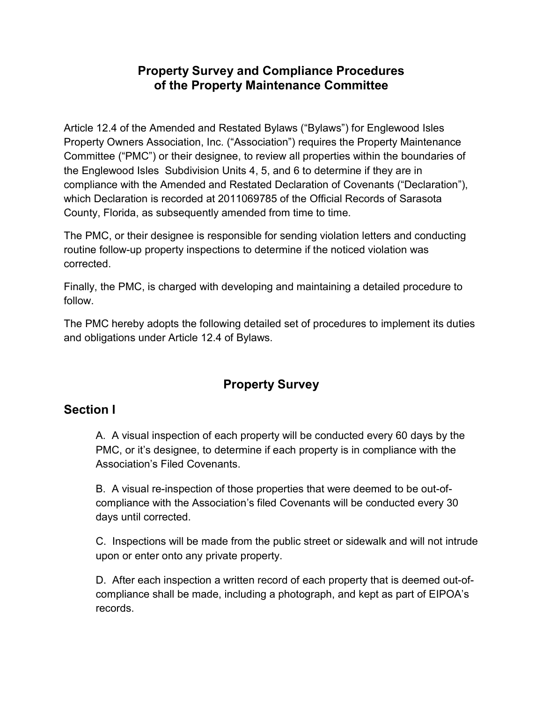#### Property Survey and Compliance Procedures of the Property Maintenance Committee

Article 12.4 of the Amended and Restated Bylaws ("Bylaws") for Englewood Isles Property Owners Association, Inc. ("Association") requires the Property Maintenance Committee ("PMC") or their designee, to review all properties within the boundaries of the Englewood Isles Subdivision Units 4, 5, and 6 to determine if they are in compliance with the Amended and Restated Declaration of Covenants ("Declaration"), which Declaration is recorded at 2011069785 of the Official Records of Sarasota County, Florida, as subsequently amended from time to time.

The PMC, or their designee is responsible for sending violation letters and conducting routine follow-up property inspections to determine if the noticed violation was corrected.

Finally, the PMC, is charged with developing and maintaining a detailed procedure to follow.

The PMC hereby adopts the following detailed set of procedures to implement its duties and obligations under Article 12.4 of Bylaws.

# Property Survey

#### Section l

A. A visual inspection of each property will be conducted every 60 days by the PMC, or it's designee, to determine if each property is in compliance with the Association's Filed Covenants.

B. A visual re-inspection of those properties that were deemed to be out-ofcompliance with the Association's filed Covenants will be conducted every 30 days until corrected.

C. Inspections will be made from the public street or sidewalk and will not intrude upon or enter onto any private property.

D. After each inspection a written record of each property that is deemed out-ofcompliance shall be made, including a photograph, and kept as part of EIPOA's records.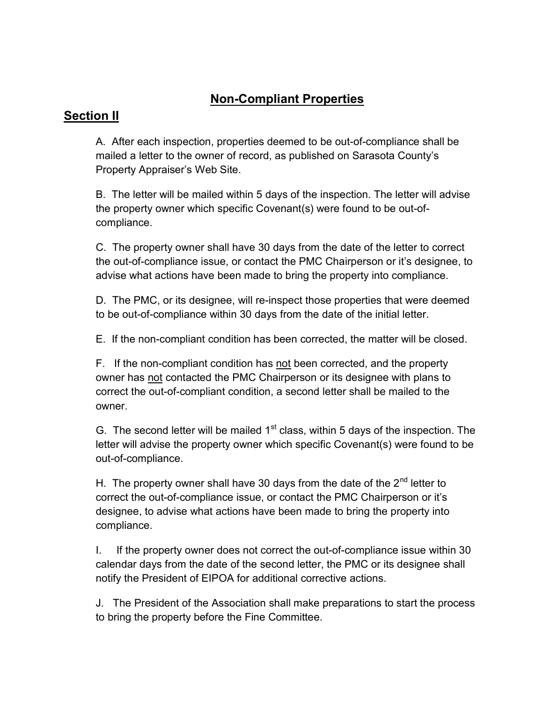## Non-Compliant Properties

#### Section II

A. After each inspection, properties deemed to be out-of-compliance shall be mailed a letter to the owner of record, as published on Sarasota County's Property Appraiser's Web Site.

B. The letter will be mailed within 5 days of the inspection. The letter will advise the property owner which specific Covenant(s) were found to be out-ofcompliance.

C. The property owner shall have 30 days from the date of the letter to correct the out-of-compliance issue, or contact the PMC Chairperson or it's designee, to advise what actions have been made to bring the property into compliance.

D. The PMC, or its designee, will re-inspect those properties that were deemed to be out-of-compliance within 30 days from the date of the initial letter.

E. If the non-compliant condition has been corrected, the matter will be closed.

F. If the non-compliant condition has not been corrected, and the property owner has not contacted the PMC Chairperson or its designee with plans to correct the out-of-compliant condition, a second letter shall be mailed to the owner.

G. The second letter will be mailed  $1<sup>st</sup>$  class, within 5 days of the inspection. The letter will advise the property owner which specific Covenant(s) were found to be out-of-compliance.

H. The property owner shall have 30 days from the date of the  $2<sup>nd</sup>$  letter to correct the out-of-compliance issue, or contact the PMC Chairperson or it's designee, to advise what actions have been made to bring the property into compliance.

I. If the property owner does not correct the out-of-compliance issue within 30 calendar days from the date of the second letter, the PMC or its designee shall notify the President of EIPOA for additional corrective actions.

J. The President of the Association shall make preparations to start the process to bring the property before the Fine Committee.